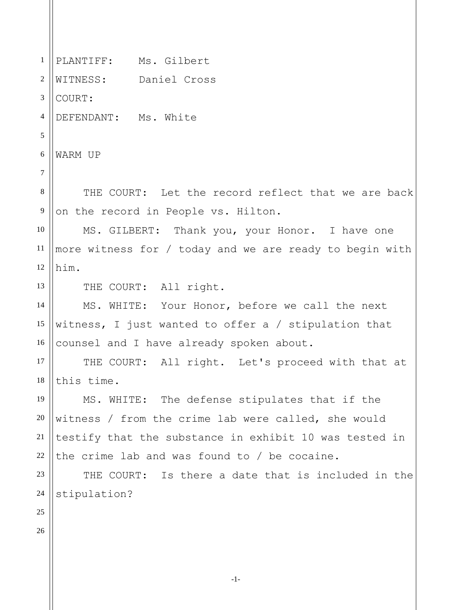1 2 3 4 5 6 7 8 9 10 11 12 13 14 15 16 17 18 19 20 21 22 23 24 25 26 PLANTIFF: Ms. Gilbert WITNESS: Daniel Cross COURT: DEFENDANT: Ms. White WARM UP THE COURT: Let the record reflect that we are back on the record in People vs. Hilton. MS. GILBERT: Thank you, your Honor. I have one more witness for / today and we are ready to begin with him. THE COURT: All right. MS. WHITE: Your Honor, before we call the next witness, I just wanted to offer a / stipulation that counsel and I have already spoken about. THE COURT: All right. Let's proceed with that at this time. MS. WHITE: The defense stipulates that if the witness / from the crime lab were called, she would testify that the substance in exhibit 10 was tested in the crime lab and was found to / be cocaine. THE COURT: Is there a date that is included in the stipulation?

-1-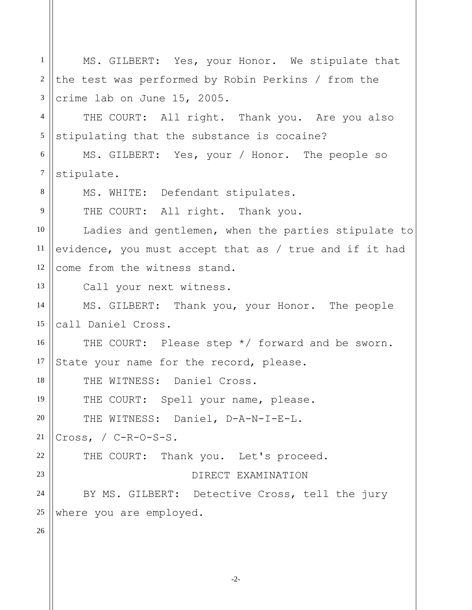| $\mathbf{1}$   | MS. GILBERT: Yes, your Honor. We stipulate that        |
|----------------|--------------------------------------------------------|
| $\overline{2}$ | the test was performed by Robin Perkins / from the     |
| 3              | crime lab on June 15, 2005.                            |
| $\overline{4}$ | THE COURT: All right. Thank you. Are you also          |
| $\mathfrak{S}$ | stipulating that the substance is cocaine?             |
| 6              | MS. GILBERT: Yes, your / Honor. The people so          |
| $\overline{7}$ | stipulate.                                             |
| 8              | MS. WHITE: Defendant stipulates.                       |
| 9              | THE COURT: All right. Thank you.                       |
| 10             | Ladies and gentlemen, when the parties stipulate to    |
| 11             | evidence, you must accept that as / true and if it had |
| 12             | come from the witness stand.                           |
| 13             | Call your next witness.                                |
| 14             | MS. GILBERT: Thank you, your Honor. The people         |
| 15             | call Daniel Cross.                                     |
| 16             | THE COURT: Please step */ forward and be sworn.        |
| 17             | State your name for the record, please.                |
| 18             | THE WITNESS: Daniel Cross.                             |
| 19             | THE COURT: Spell your name, please.                    |
| $20\,$         | THE WITNESS: Daniel, D-A-N-I-E-L.                      |
| 21             | Cross, $/$ C-R-O-S-S.                                  |
| $22\,$         | THE COURT: Thank you. Let's proceed.                   |
| 23             | DIRECT EXAMINATION                                     |
| 24             | BY MS. GILBERT: Detective Cross, tell the jury         |
| 25             | where you are employed.                                |
| 26             |                                                        |

-2-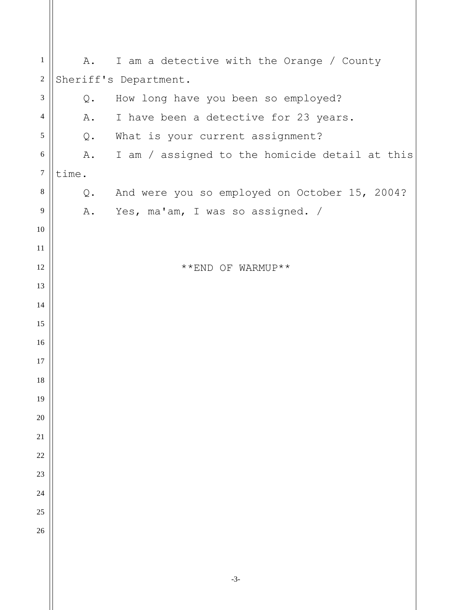| $\mathbf{1}$     | Α.    | I am a detective with the Orange / County      |
|------------------|-------|------------------------------------------------|
| $\mathbf{2}$     |       | Sheriff's Department.                          |
| $\mathfrak{Z}$   | $Q$ . | How long have you been so employed?            |
| $\overline{4}$   | Α.    | I have been a detective for 23 years.          |
| $\mathfrak{S}$   | Q.    | What is your current assignment?               |
| $\sqrt{6}$       | Α.    | I am / assigned to the homicide detail at this |
| $\boldsymbol{7}$ | time. |                                                |
| $\,8\,$          | Q.    | And were you so employed on October 15, 2004?  |
| 9                | Α.    | Yes, ma'am, I was so assigned. /               |
| $10\,$           |       |                                                |
| 11               |       |                                                |
| 12               |       | **END OF WARMUP**                              |
| 13               |       |                                                |
| 14               |       |                                                |
| 15               |       |                                                |
| 16               |       |                                                |
| 17               |       |                                                |
| 18               |       |                                                |
| 19               |       |                                                |
| 20               |       |                                                |
| $21\,$           |       |                                                |
| 22               |       |                                                |
| 23               |       |                                                |
| 24               |       |                                                |
| 25               |       |                                                |
| 26               |       |                                                |
|                  |       |                                                |
|                  |       |                                                |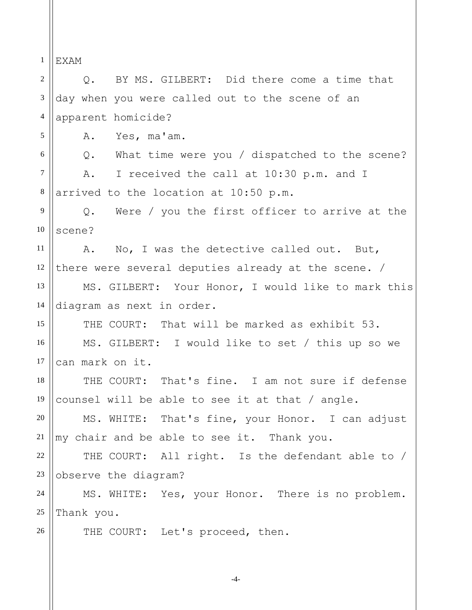1 2 3 4 5 6 7 8 9 10 11 12 13 14 15 16 17 18 19 20 21 22 23 24 25 26 EXAM Q. BY MS. GILBERT: Did there come a time that day when you were called out to the scene of an apparent homicide? A. Yes, ma'am. Q. What time were you / dispatched to the scene? A. I received the call at 10:30 p.m. and I arrived to the location at 10:50 p.m. Q. Were / you the first officer to arrive at the scene? A. No, I was the detective called out. But, there were several deputies already at the scene. / MS. GILBERT: Your Honor, I would like to mark this diagram as next in order. THE COURT: That will be marked as exhibit 53. MS. GILBERT: I would like to set / this up so we can mark on it. THE COURT: That's fine. I am not sure if defense counsel will be able to see it at that / angle. MS. WHITE: That's fine, your Honor. I can adjust my chair and be able to see it. Thank you. THE COURT: All right. Is the defendant able to / observe the diagram? MS. WHITE: Yes, your Honor. There is no problem. Thank you. THE COURT: Let's proceed, then.

-4-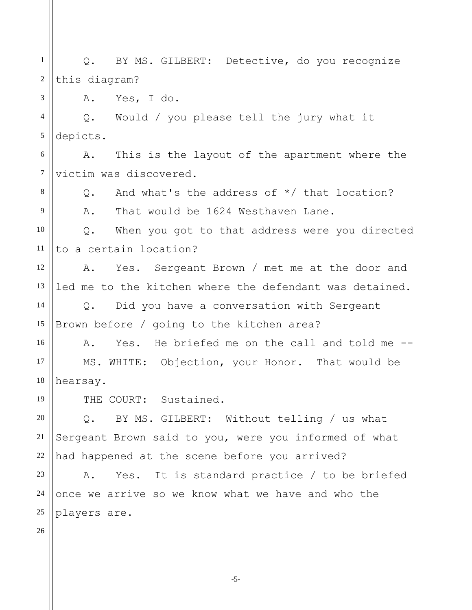1 2 3 4 5 6 7 8 9 10 11 12 13 14 15 16 17 18 19 20 21 22 23 24 25 26 Q. BY MS. GILBERT: Detective, do you recognize this diagram? A. Yes, I do. Q. Would / you please tell the jury what it depicts. A. This is the layout of the apartment where the victim was discovered. Q. And what's the address of \*/ that location? A. That would be 1624 Westhaven Lane. Q. When you got to that address were you directed to a certain location? A. Yes. Sergeant Brown / met me at the door and led me to the kitchen where the defendant was detained. Q. Did you have a conversation with Sergeant Brown before / going to the kitchen area? A. Yes. He briefed me on the call and told me -- MS. WHITE: Objection, your Honor. That would be hearsay. THE COURT: Sustained. Q. BY MS. GILBERT: Without telling / us what Sergeant Brown said to you, were you informed of what had happened at the scene before you arrived? A. Yes. It is standard practice / to be briefed once we arrive so we know what we have and who the players are.

-5-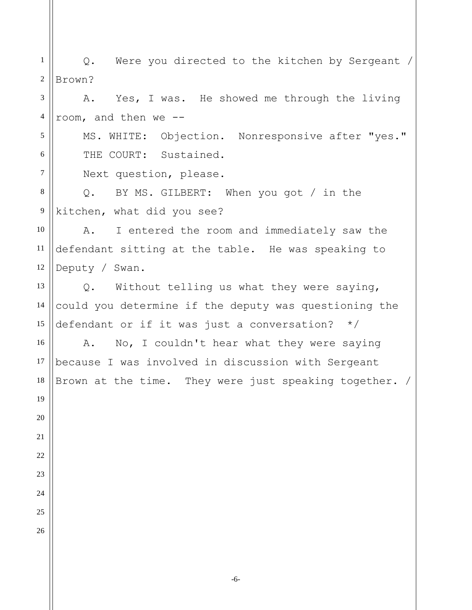1 2 3 4 5 6 7 8 9 10 11 12 13 14 15 16 17 18 19 20 21 22 23 24 25 26 Q. Were you directed to the kitchen by Sergeant / Brown? A. Yes, I was. He showed me through the living room, and then we -- MS. WHITE: Objection. Nonresponsive after "yes." THE COURT: Sustained. Next question, please. Q. BY MS. GILBERT: When you got / in the kitchen, what did you see? A. I entered the room and immediately saw the defendant sitting at the table. He was speaking to Deputy / Swan. Q. Without telling us what they were saying, could you determine if the deputy was questioning the defendant or if it was just a conversation? \*/ A. No, I couldn't hear what they were saying because I was involved in discussion with Sergeant Brown at the time. They were just speaking together. /

-6-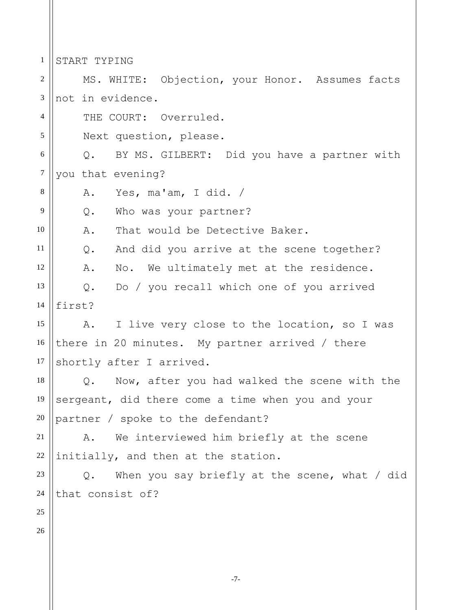1 START TYPING

2 3 4 5 6 7 8 9 10 11 12 13 14 15 16 17 18 19 20 21 22 23 24 25 26 MS. WHITE: Objection, your Honor. Assumes facts not in evidence. THE COURT: Overruled. Next question, please. Q. BY MS. GILBERT: Did you have a partner with you that evening? A. Yes, ma'am, I did. / Q. Who was your partner? A. That would be Detective Baker. Q. And did you arrive at the scene together? A. No. We ultimately met at the residence. Q. Do / you recall which one of you arrived first? A. I live very close to the location, so I was there in 20 minutes. My partner arrived / there shortly after I arrived. Q. Now, after you had walked the scene with the sergeant, did there come a time when you and your partner / spoke to the defendant? A. We interviewed him briefly at the scene initially, and then at the station. Q. When you say briefly at the scene, what / did that consist of?

-7-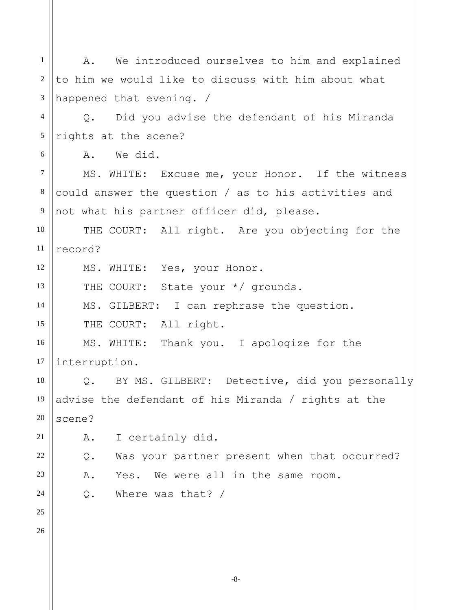-8- 1 2 3 4 5 6 7 8 9 10 11 12 13 14 15 16 17 18 19 20 21 22 23 24 25 26 A. We introduced ourselves to him and explained to him we would like to discuss with him about what happened that evening. / Q. Did you advise the defendant of his Miranda rights at the scene? A. We did. MS. WHITE: Excuse me, your Honor. If the witness could answer the question / as to his activities and not what his partner officer did, please. THE COURT: All right. Are you objecting for the record? MS. WHITE: Yes, your Honor. THE COURT: State your \*/ grounds. MS. GILBERT: I can rephrase the question. THE COURT: All right. MS. WHITE: Thank you. I apologize for the interruption. Q. BY MS. GILBERT: Detective, did you personally advise the defendant of his Miranda / rights at the scene? A. I certainly did. Q. Was your partner present when that occurred? A. Yes. We were all in the same room. Q. Where was that? /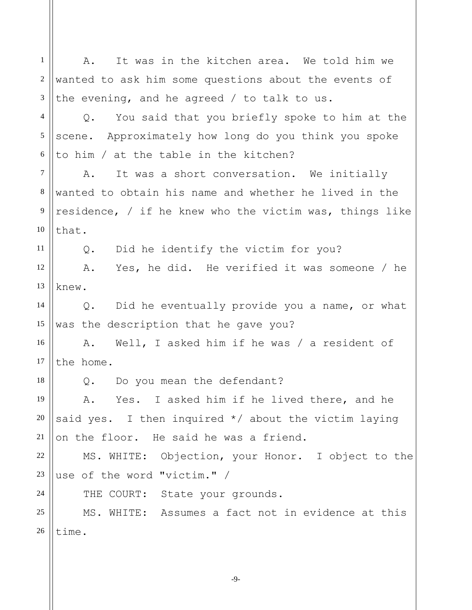1 2 3 4 5 6 7 8 9 10 11 12 13 14 15 16 17 18 19 20 21 22 23 24 25 26 A. It was in the kitchen area. We told him we wanted to ask him some questions about the events of the evening, and he agreed / to talk to us. Q. You said that you briefly spoke to him at the scene. Approximately how long do you think you spoke to him / at the table in the kitchen? A. It was a short conversation. We initially wanted to obtain his name and whether he lived in the residence, / if he knew who the victim was, things like that. Q. Did he identify the victim for you? A. Yes, he did. He verified it was someone / he knew. Q. Did he eventually provide you a name, or what was the description that he gave you? A. Well, I asked him if he was / a resident of the home. Q. Do you mean the defendant? A. Yes. I asked him if he lived there, and he said yes. I then inquired \*/ about the victim laying on the floor. He said he was a friend. MS. WHITE: Objection, your Honor. I object to the use of the word "victim." / THE COURT: State your grounds. MS. WHITE: Assumes a fact not in evidence at this time.

-9-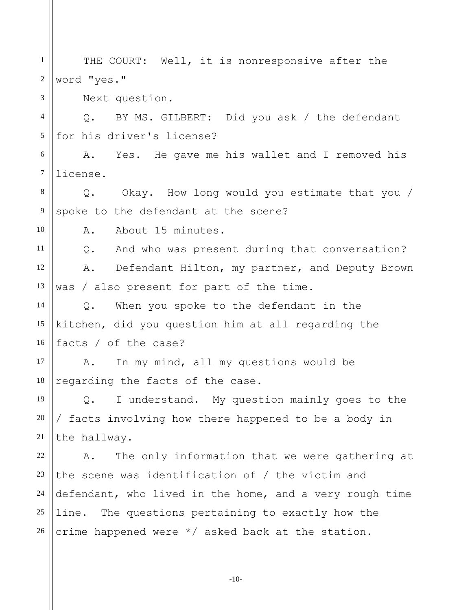1 2 3 4 5 6 7 8 9 10 11 12 13 14 15 16 17 18 19 20 21 22 23 24 25 26 THE COURT: Well, it is nonresponsive after the word "yes." Next question. Q. BY MS. GILBERT: Did you ask / the defendant for his driver's license? A. Yes. He gave me his wallet and I removed his license. Q. Okay. How long would you estimate that you / spoke to the defendant at the scene? A. About 15 minutes. Q. And who was present during that conversation? A. Defendant Hilton, my partner, and Deputy Brown was / also present for part of the time. Q. When you spoke to the defendant in the kitchen, did you question him at all regarding the facts / of the case? A. In my mind, all my questions would be regarding the facts of the case. Q. I understand. My question mainly goes to the / facts involving how there happened to be a body in the hallway. A. The only information that we were gathering at the scene was identification of / the victim and defendant, who lived in the home, and a very rough time line. The questions pertaining to exactly how the crime happened were \*/ asked back at the station.

-10-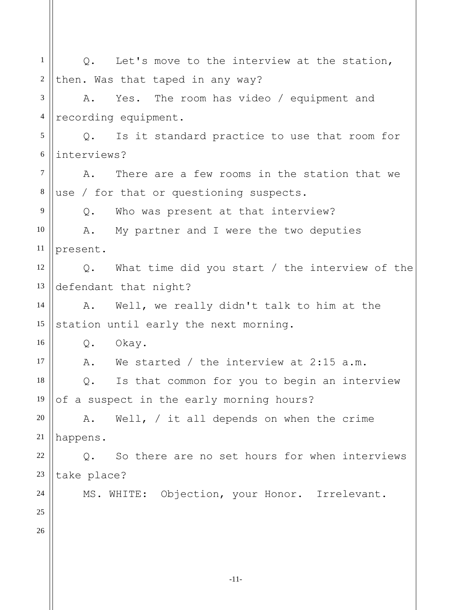| $\mathbf{1}$     | Let's move to the interview at the station,<br>$Q_{\bullet}$    |
|------------------|-----------------------------------------------------------------|
| $\boldsymbol{2}$ | then. Was that taped in any way?                                |
| 3                | Yes. The room has video / equipment and<br>Α.                   |
| $\overline{4}$   | recording equipment.                                            |
| 5                | Is it standard practice to use that room for<br>$Q_{\bullet}$   |
| 6                | interviews?                                                     |
| $\tau$           | There are a few rooms in the station that we<br>Α.              |
| $\,8\,$          | use / for that or questioning suspects.                         |
| 9                | Who was present at that interview?<br>$Q$ .                     |
| 10               | A. My partner and I were the two deputies                       |
| 11               | present.                                                        |
| 12               | What time did you start / the interview of the<br>$Q_{\bullet}$ |
| 13               | defendant that night?                                           |
| 14               | Well, we really didn't talk to him at the<br>A.                 |
| 15               | station until early the next morning.                           |
| 16               | Q.<br>Okay.                                                     |
| 17               | We started / the interview at $2:15$ a.m.<br>Α.                 |
| 18               | Is that common for you to begin an interview<br>Q.              |
| 19               | of a suspect in the early morning hours?                        |
| 20               | Well, $/$ it all depends on when the crime<br>Α.                |
| 21               | happens.                                                        |
| 22               | So there are no set hours for when interviews<br>$Q$ .          |
| 23               | take place?                                                     |
| 24               | MS. WHITE: Objection, your Honor. Irrelevant.                   |
| 25               |                                                                 |
| 26               |                                                                 |
|                  |                                                                 |
|                  |                                                                 |

-11-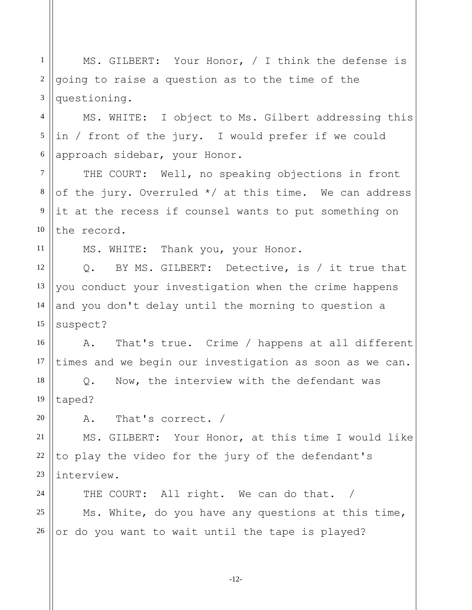-12- 2 3 4 5 6 7 8 9 10 11 12 13 14 15 16 17 18 19 20 21 22 23 24 25 26 going to raise a question as to the time of the questioning. MS. WHITE: I object to Ms. Gilbert addressing this in / front of the jury. I would prefer if we could approach sidebar, your Honor. THE COURT: Well, no speaking objections in front of the jury. Overruled \*/ at this time. We can address it at the recess if counsel wants to put something on the record. MS. WHITE: Thank you, your Honor. Q. BY MS. GILBERT: Detective, is / it true that you conduct your investigation when the crime happens and you don't delay until the morning to question a suspect? A. That's true. Crime / happens at all different times and we begin our investigation as soon as we can. Q. Now, the interview with the defendant was taped? A. That's correct. / MS. GILBERT: Your Honor, at this time I would like to play the video for the jury of the defendant's interview. THE COURT: All right. We can do that. / Ms. White, do you have any questions at this time, or do you want to wait until the tape is played?

MS. GILBERT: Your Honor, / I think the defense is

1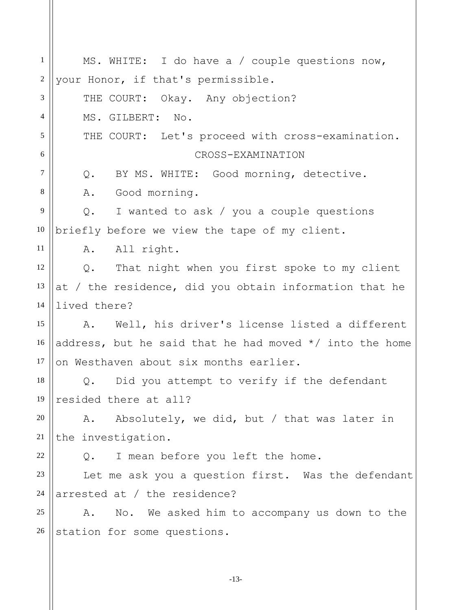| $\mathbf{1}$   | MS. WHITE: I do have a / couple questions now,            |
|----------------|-----------------------------------------------------------|
| $\overline{2}$ | your Honor, if that's permissible.                        |
| 3              | THE COURT: Okay. Any objection?                           |
| $\overline{4}$ | MS. GILBERT: No.                                          |
| 5              | THE COURT: Let's proceed with cross-examination.          |
| 6              | CROSS-EXAMINATION                                         |
| $\tau$         | BY MS. WHITE: Good morning, detective.<br>Q.              |
| 8              | A. Good morning.                                          |
| 9              | I wanted to ask / you a couple questions<br>Q.            |
| 10             | briefly before we view the tape of my client.             |
| 11             | A. All right.                                             |
| 12             | That night when you first spoke to my client<br>$Q$ .     |
| 13             | at / the residence, did you obtain information that he    |
| 14             | lived there?                                              |
| 15             | Well, his driver's license listed a different<br>A.       |
| 16             | address, but he said that he had moved $*/$ into the home |
| 17             | on Westhaven about six months earlier.                    |
| 18             | Q. Did you attempt to verify if the defendant             |
| 19             | resided there at all?                                     |
| 20             | Absolutely, we did, but / that was later in<br>Α.         |
| 21             | the investigation.                                        |
| 22             | I mean before you left the home.<br>$Q$ .                 |
| 23             | Let me ask you a question first. Was the defendant        |
| 24             | arrested at / the residence?                              |
| 25             | No. We asked him to accompany us down to the<br>Α.        |
| 26             | station for some questions.                               |
|                |                                                           |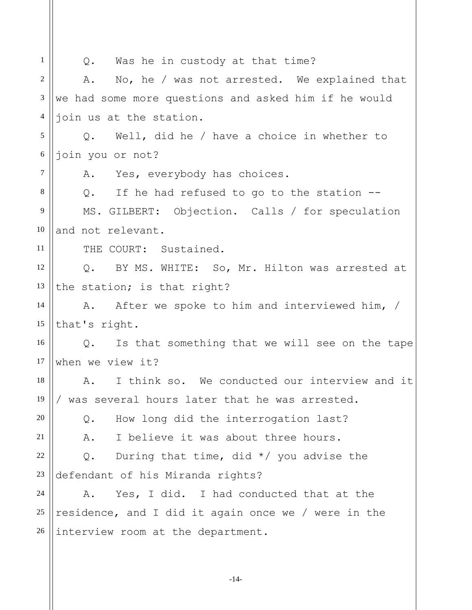| $\mathbf{1}$   | Q. Was he in custody at that time?                         |
|----------------|------------------------------------------------------------|
| $\overline{2}$ | No, he / was not arrested. We explained that<br>Α.         |
| $\mathfrak{Z}$ | we had some more questions and asked him if he would       |
| $\overline{4}$ | join us at the station.                                    |
| 5              | Well, did he / have a choice in whether to<br>Q.           |
| $\sqrt{6}$     | join you or not?                                           |
| $\tau$         | Yes, everybody has choices.<br>A.                          |
| 8              | If he had refused to go to the station --<br>$Q_{\bullet}$ |
| 9              | MS. GILBERT: Objection. Calls / for speculation            |
| 10             | and not relevant.                                          |
| 11             | THE COURT: Sustained.                                      |
| 12             | Q. BY MS. WHITE: So, Mr. Hilton was arrested at            |
| 13             | the station; is that right?                                |
| 14             | A. After we spoke to him and interviewed him, /            |
| 15             | that's right.                                              |
| 16             | Is that something that we will see on the tape<br>Q.       |
| 17             | when we view it?                                           |
| 18             | I think so. We conducted our interview and it<br>Α.        |
| 19             | was several hours later that he was arrested.              |
| 20             | How long did the interrogation last?<br>Q.                 |
| 21             | I believe it was about three hours.<br>Α.                  |
| 22             | During that time, did $*/$ you advise the<br>$Q$ .         |
| 23             | defendant of his Miranda rights?                           |
| 24             | Yes, I did. I had conducted that at the<br>Α.              |
| 25             | residence, and I did it again once we / were in the        |
| 26             | interview room at the department.                          |
|                |                                                            |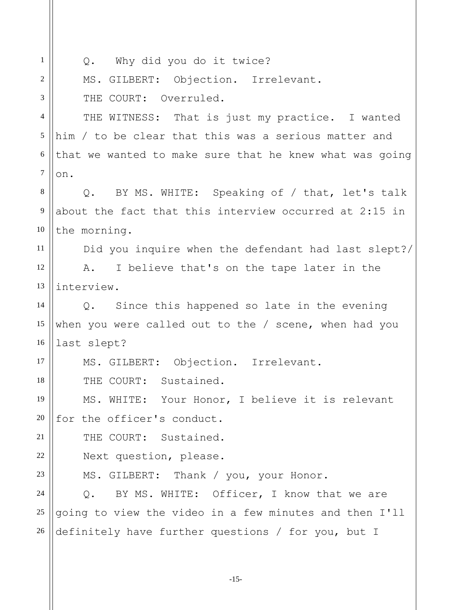| $\mathbf{1}$     | Q. Why did you do it twice?                                |
|------------------|------------------------------------------------------------|
| $\overline{2}$   | MS. GILBERT: Objection. Irrelevant.                        |
| 3                | THE COURT: Overruled.                                      |
| $\overline{4}$   | THE WITNESS: That is just my practice. I wanted            |
| 5                | him / to be clear that this was a serious matter and       |
| 6                | that we wanted to make sure that he knew what was going    |
| $\boldsymbol{7}$ | on.                                                        |
| $\,8\,$          | Q. BY MS. WHITE: Speaking of / that, let's talk            |
| $\overline{9}$   | about the fact that this interview occurred at 2:15 in     |
| 10               | the morning.                                               |
| 11               | Did you inquire when the defendant had last slept?/        |
| 12               | I believe that's on the tape later in the<br>A.            |
| 13               | interview.                                                 |
| 14               | Q. Since this happened so late in the evening              |
| 15               | when you were called out to the / scene, when had you      |
| 16               | last slept?                                                |
| 17               | MS. GILBERT: Objection. Irrelevant.                        |
| 18               | THE COURT: Sustained.                                      |
| 19               | MS. WHITE: Your Honor, I believe it is relevant            |
| 20               | for the officer's conduct.                                 |
| 21               | THE COURT: Sustained.                                      |
| 22               | Next question, please.                                     |
| 23               | MS. GILBERT: Thank / you, your Honor.                      |
| 24               | BY MS. WHITE: Officer, I know that we are<br>$Q_{\bullet}$ |
| 25               | going to view the video in a few minutes and then I'll     |
| 26               | definitely have further questions / for you, but I         |
|                  |                                                            |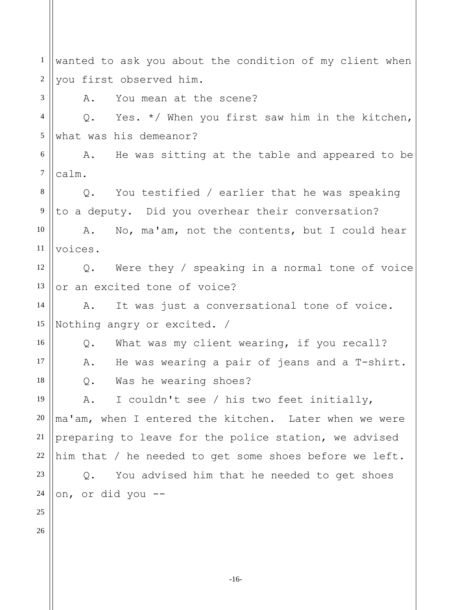1 2 3 4 5 6 7 8 9 10 11 12 13 14 15 16 17 18 19 20 21 22 23 24 25 26 wanted to ask you about the condition of my client when you first observed him. A. You mean at the scene? Q. Yes. \*/ When you first saw him in the kitchen, what was his demeanor? A. He was sitting at the table and appeared to be calm. Q. You testified / earlier that he was speaking to a deputy. Did you overhear their conversation? A. No, ma'am, not the contents, but I could hear voices. Q. Were they / speaking in a normal tone of voice or an excited tone of voice? A. It was just a conversational tone of voice. Nothing angry or excited. / Q. What was my client wearing, if you recall? A. He was wearing a pair of jeans and a T-shirt. Q. Was he wearing shoes? A. I couldn't see / his two feet initially, ma'am, when I entered the kitchen. Later when we were preparing to leave for the police station, we advised him that / he needed to get some shoes before we left. Q. You advised him that he needed to get shoes on, or did you --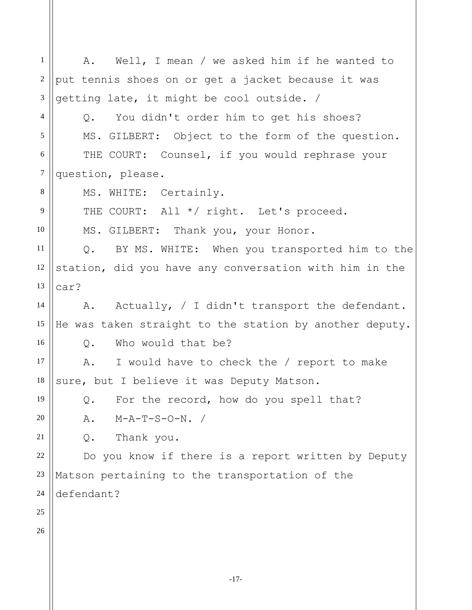-17- 1 2 3 4 5 6 7 8 9 10 11 12 13 14 15 16 17 18 19 20 21 22 23 24 25 26 A. Well, I mean / we asked him if he wanted to put tennis shoes on or get a jacket because it was getting late, it might be cool outside. / Q. You didn't order him to get his shoes? MS. GILBERT: Object to the form of the question. THE COURT: Counsel, if you would rephrase your question, please. MS. WHITE: Certainly. THE COURT: All \*/ right. Let's proceed. MS. GILBERT: Thank you, your Honor. Q. BY MS. WHITE: When you transported him to the station, did you have any conversation with him in the car? A. Actually, / I didn't transport the defendant. He was taken straight to the station by another deputy. Q. Who would that be? A. I would have to check the / report to make sure, but I believe it was Deputy Matson. Q. For the record, how do you spell that? A. M-A-T-S-O-N. / Q. Thank you. Do you know if there is a report written by Deputy Matson pertaining to the transportation of the defendant?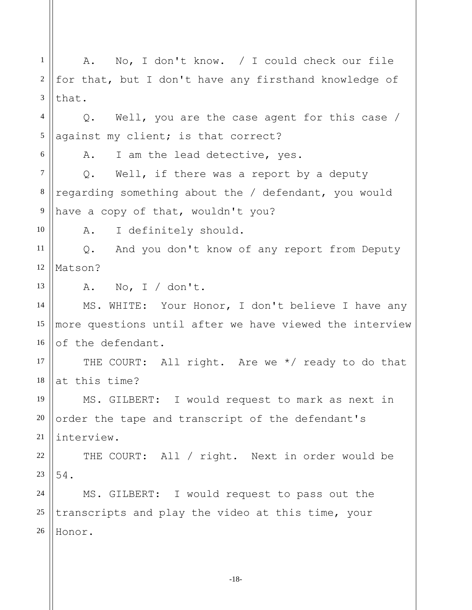1 2 3 4 5 6 7 8 9 10 11 12 13 14 15 16 17 18 19 20 21 22 23 24 25 26 A. No, I don't know. / I could check our file for that, but I don't have any firsthand knowledge of that. Q. Well, you are the case agent for this case / against my client; is that correct? A. I am the lead detective, yes. Q. Well, if there was a report by a deputy regarding something about the / defendant, you would have a copy of that, wouldn't you? A. I definitely should. Q. And you don't know of any report from Deputy Matson? A. No, I / don't. MS. WHITE: Your Honor, I don't believe I have any more questions until after we have viewed the interview of the defendant. THE COURT: All right. Are we \*/ ready to do that at this time? MS. GILBERT: I would request to mark as next in order the tape and transcript of the defendant's interview. THE COURT: All / right. Next in order would be 54. MS. GILBERT: I would request to pass out the transcripts and play the video at this time, your Honor.

-18-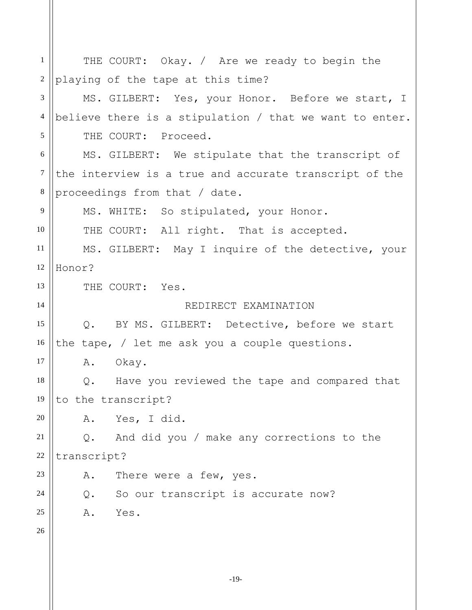1 2 3 4 5 6 7 8 9 10 11 12 13 14 15 16 17 18 19 20 21 22 23 24 25 26 THE COURT: Okay. / Are we ready to begin the playing of the tape at this time? MS. GILBERT: Yes, your Honor. Before we start, I believe there is a stipulation / that we want to enter. THE COURT: Proceed. MS. GILBERT: We stipulate that the transcript of the interview is a true and accurate transcript of the proceedings from that / date. MS. WHITE: So stipulated, your Honor. THE COURT: All right. That is accepted. MS. GILBERT: May I inquire of the detective, your Honor? THE COURT: Yes. REDIRECT EXAMINATION Q. BY MS. GILBERT: Detective, before we start the tape, / let me ask you a couple questions. A. Okay. Q. Have you reviewed the tape and compared that to the transcript? A. Yes, I did. Q. And did you / make any corrections to the transcript? A. There were a few, yes. Q. So our transcript is accurate now? A. Yes.

-19-